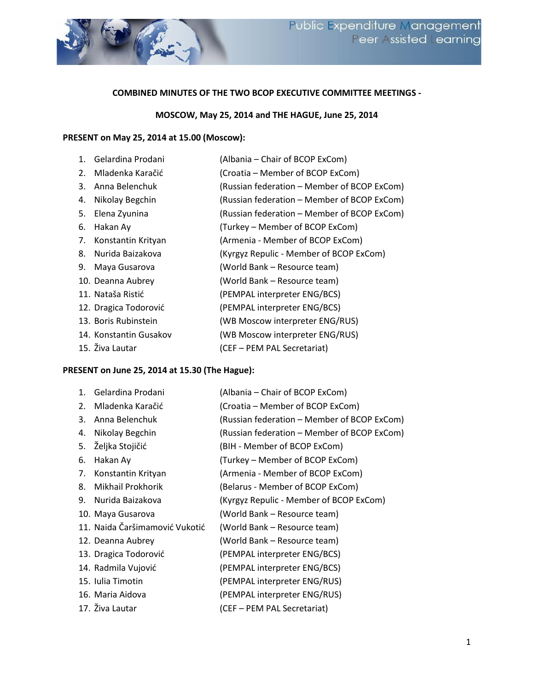

### **COMBINED MINUTES OF THE TWO BCOP EXECUTIVE COMMITTEE MEETINGS -**

#### **MOSCOW, May 25, 2014 and THE HAGUE, June 25, 2014**

# **PRESENT on May 25, 2014 at 15.00 (Moscow):**

| $1_{-}$ | Gelardina Prodani      | (Albania – Chair of BCOP ExCom)             |
|---------|------------------------|---------------------------------------------|
| 2.      | Mladenka Karačić       | (Croatia – Member of BCOP ExCom)            |
| 3.      | Anna Belenchuk         | (Russian federation - Member of BCOP ExCom) |
| 4.      | Nikolay Begchin        | (Russian federation - Member of BCOP ExCom) |
| 5.      | Elena Zyunina          | (Russian federation - Member of BCOP ExCom) |
| 6.      | Hakan Ay               | (Turkey – Member of BCOP ExCom)             |
| 7.      | Konstantin Krityan     | (Armenia - Member of BCOP ExCom)            |
|         | 8. Nurida Baizakova    | (Kyrgyz Repulic - Member of BCOP ExCom)     |
| 9.      | Maya Gusarova          | (World Bank – Resource team)                |
|         | 10. Deanna Aubrey      | (World Bank - Resource team)                |
|         | 11. Nataša Ristić      | (PEMPAL interpreter ENG/BCS)                |
|         | 12. Dragica Todorović  | (PEMPAL interpreter ENG/BCS)                |
|         | 13. Boris Rubinstein   | (WB Moscow interpreter ENG/RUS)             |
|         | 14. Konstantin Gusakov | (WB Moscow interpreter ENG/RUS)             |
|         | 15. Živa Lautar        | (CEF - PEM PAL Secretariat)                 |

# **PRESENT on June 25, 2014 at 15.30 (The Hague):**

| $\mathbf{1}$ . | Gelardina Prodani              | (Albania – Chair of BCOP ExCom)             |
|----------------|--------------------------------|---------------------------------------------|
| 2.             | Mladenka Karačić               | (Croatia – Member of BCOP ExCom)            |
| 3.             | Anna Belenchuk                 | (Russian federation – Member of BCOP ExCom) |
| 4.             | Nikolay Begchin                | (Russian federation – Member of BCOP ExCom) |
| 5.             | Željka Stojičić                | (BIH - Member of BCOP ExCom)                |
| 6.             | Hakan Ay                       | (Turkey – Member of BCOP ExCom)             |
| 7.             | Konstantin Krityan             | (Armenia - Member of BCOP ExCom)            |
| 8.             | Mikhail Prokhorik              | (Belarus - Member of BCOP ExCom)            |
| 9.             | Nurida Baizakova               | (Kyrgyz Repulic - Member of BCOP ExCom)     |
|                | 10. Maya Gusarova              | (World Bank – Resource team)                |
|                | 11. Naida Čaršimamović Vukotić | (World Bank – Resource team)                |
|                | 12. Deanna Aubrey              | (World Bank - Resource team)                |
|                | 13. Dragica Todorović          | (PEMPAL interpreter ENG/BCS)                |
|                | 14. Radmila Vujović            | (PEMPAL interpreter ENG/BCS)                |
|                | 15. Iulia Timotin              | (PEMPAL interpreter ENG/RUS)                |
|                | 16. Maria Aidova               | (PEMPAL interpreter ENG/RUS)                |
|                | 17. Živa Lautar                | (CEF - PEM PAL Secretariat)                 |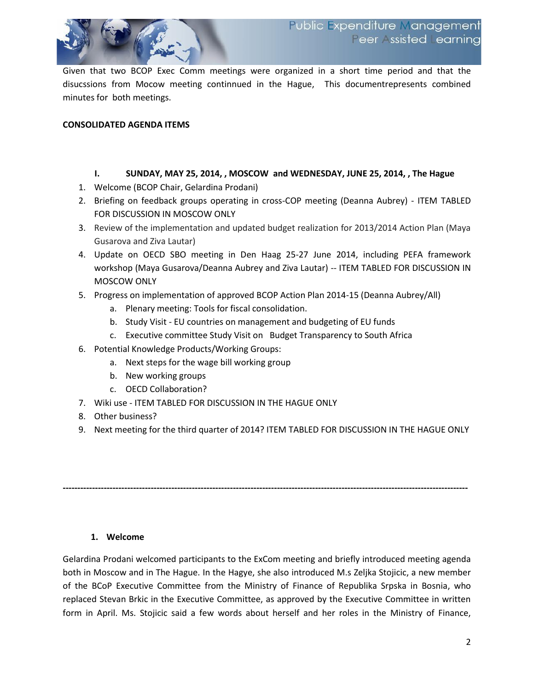

### **CONSOLIDATED AGENDA ITEMS**

### **I. SUNDAY, MAY 25, 2014, , MOSCOW and WEDNESDAY, JUNE 25, 2014, , The Hague**

- 1. Welcome (BCOP Chair, Gelardina Prodani)
- 2. Briefing on feedback groups operating in cross-COP meeting (Deanna Aubrey) ITEM TABLED FOR DISCUSSION IN MOSCOW ONLY
- 3. Review of the implementation and updated budget realization for 2013/2014 Action Plan (Maya Gusarova and Ziva Lautar)
- 4. Update on OECD SBO meeting in Den Haag 25-27 June 2014, including PEFA framework workshop (Maya Gusarova/Deanna Aubrey and Ziva Lautar) -- ITEM TABLED FOR DISCUSSION IN MOSCOW ONLY
- 5. Progress on implementation of approved BCOP Action Plan 2014-15 (Deanna Aubrey/All)
	- a. Plenary meeting: Tools for fiscal consolidation.
	- b. Study Visit EU countries on management and budgeting of EU funds
	- c. Executive committee Study Visit on Budget Transparency to South Africa
- 6. Potential Knowledge Products/Working Groups:
	- a. Next steps for the wage bill working group
	- b. New working groups
	- c. OECD Collaboration?
- 7. Wiki use ITEM TABLED FOR DISCUSSION IN THE HAGUE ONLY
- 8. Other business?
- 9. Next meeting for the third quarter of 2014? ITEM TABLED FOR DISCUSSION IN THE HAGUE ONLY

**------------------------------------------------------------------------------------------------------------------------------------------**

#### **1. Welcome**

Gelardina Prodani welcomed participants to the ExCom meeting and briefly introduced meeting agenda both in Moscow and in The Hague. In the Hagye, she also introduced M.s Zeljka Stojicic, a new member of the BCoP Executive Committee from the Ministry of Finance of Republika Srpska in Bosnia, who replaced Stevan Brkic in the Executive Committee, as approved by the Executive Committee in written form in April. Ms. Stojicic said a few words about herself and her roles in the Ministry of Finance,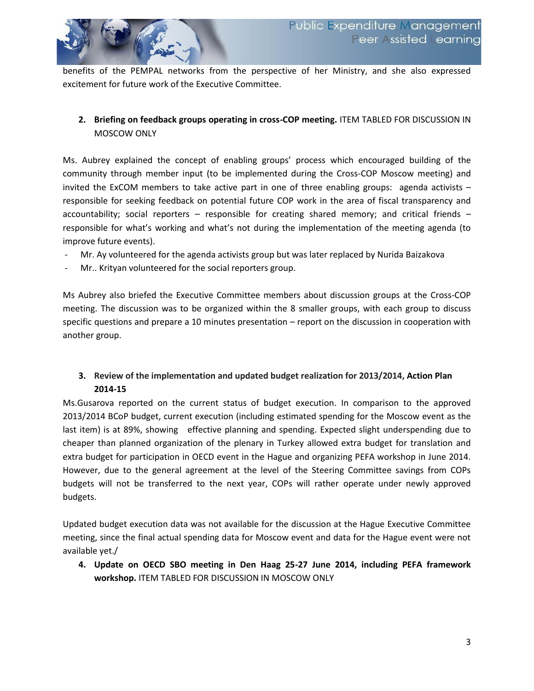

benefits of the PEMPAL networks from the perspective of her Ministry, and she also expressed excitement for future work of the Executive Committee.

# **2. Briefing on feedback groups operating in cross-COP meeting.** ITEM TABLED FOR DISCUSSION IN MOSCOW ONLY

Ms. Aubrey explained the concept of enabling groups' process which encouraged building of the community through member input (to be implemented during the Cross-COP Moscow meeting) and invited the ExCOM members to take active part in one of three enabling groups: agenda activists – responsible for seeking feedback on potential future COP work in the area of fiscal transparency and accountability; social reporters – responsible for creating shared memory; and critical friends – responsible for what's working and what's not during the implementation of the meeting agenda (to improve future events).

- Mr. Ay volunteered for the agenda activists group but was later replaced by Nurida Baizakova
- Mr.. Krityan volunteered for the social reporters group.

Ms Aubrey also briefed the Executive Committee members about discussion groups at the Cross-COP meeting. The discussion was to be organized within the 8 smaller groups, with each group to discuss specific questions and prepare a 10 minutes presentation – report on the discussion in cooperation with another group.

# **3. Review of the implementation and updated budget realization for 2013/2014, Action Plan 2014-15**

Ms.Gusarova reported on the current status of budget execution. In comparison to the approved 2013/2014 BCoP budget, current execution (including estimated spending for the Moscow event as the last item) is at 89%, showing effective planning and spending. Expected slight underspending due to cheaper than planned organization of the plenary in Turkey allowed extra budget for translation and extra budget for participation in OECD event in the Hague and organizing PEFA workshop in June 2014. However, due to the general agreement at the level of the Steering Committee savings from COPs budgets will not be transferred to the next year, COPs will rather operate under newly approved budgets.

Updated budget execution data was not available for the discussion at the Hague Executive Committee meeting, since the final actual spending data for Moscow event and data for the Hague event were not available yet./

**4. Update on OECD SBO meeting in Den Haag 25-27 June 2014, including PEFA framework workshop.** ITEM TABLED FOR DISCUSSION IN MOSCOW ONLY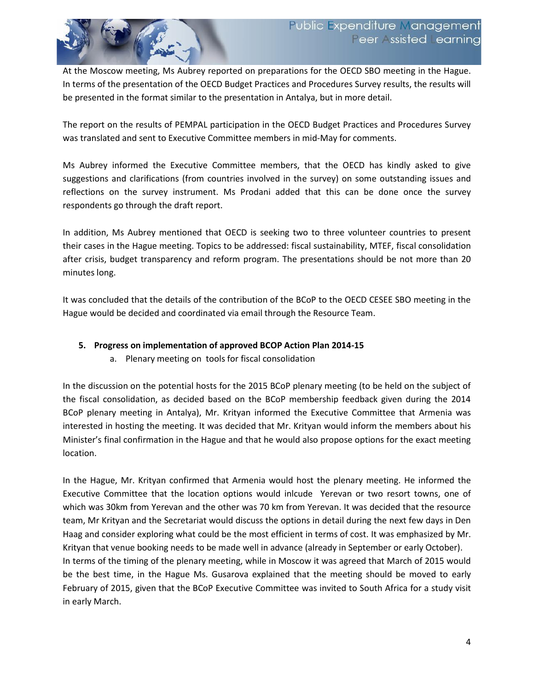

At the Moscow meeting, Ms Aubrey reported on preparations for the OECD SBO meeting in the Hague. In terms of the presentation of the OECD Budget Practices and Procedures Survey results, the results will be presented in the format similar to the presentation in Antalya, but in more detail.

The report on the results of PEMPAL participation in the OECD Budget Practices and Procedures Survey was translated and sent to Executive Committee members in mid-May for comments.

Ms Aubrey informed the Executive Committee members, that the OECD has kindly asked to give suggestions and clarifications (from countries involved in the survey) on some outstanding issues and reflections on the survey instrument. Ms Prodani added that this can be done once the survey respondents go through the draft report.

In addition, Ms Aubrey mentioned that OECD is seeking two to three volunteer countries to present their cases in the Hague meeting. Topics to be addressed: fiscal sustainability, MTEF, fiscal consolidation after crisis, budget transparency and reform program. The presentations should be not more than 20 minutes long.

It was concluded that the details of the contribution of the BCoP to the OECD CESEE SBO meeting in the Hague would be decided and coordinated via email through the Resource Team.

## **5. Progress on implementation of approved BCOP Action Plan 2014-15**

a. Plenary meeting on tools for fiscal consolidation

In the discussion on the potential hosts for the 2015 BCoP plenary meeting (to be held on the subject of the fiscal consolidation, as decided based on the BCoP membership feedback given during the 2014 BCoP plenary meeting in Antalya), Mr. Krityan informed the Executive Committee that Armenia was interested in hosting the meeting. It was decided that Mr. Krityan would inform the members about his Minister's final confirmation in the Hague and that he would also propose options for the exact meeting location.

In the Hague, Mr. Krityan confirmed that Armenia would host the plenary meeting. He informed the Executive Committee that the location options would inlcude Yerevan or two resort towns, one of which was 30km from Yerevan and the other was 70 km from Yerevan. It was decided that the resource team, Mr Krityan and the Secretariat would discuss the options in detail during the next few days in Den Haag and consider exploring what could be the most efficient in terms of cost. It was emphasized by Mr. Krityan that venue booking needs to be made well in advance (already in September or early October). In terms of the timing of the plenary meeting, while in Moscow it was agreed that March of 2015 would be the best time, in the Hague Ms. Gusarova explained that the meeting should be moved to early February of 2015, given that the BCoP Executive Committee was invited to South Africa for a study visit in early March.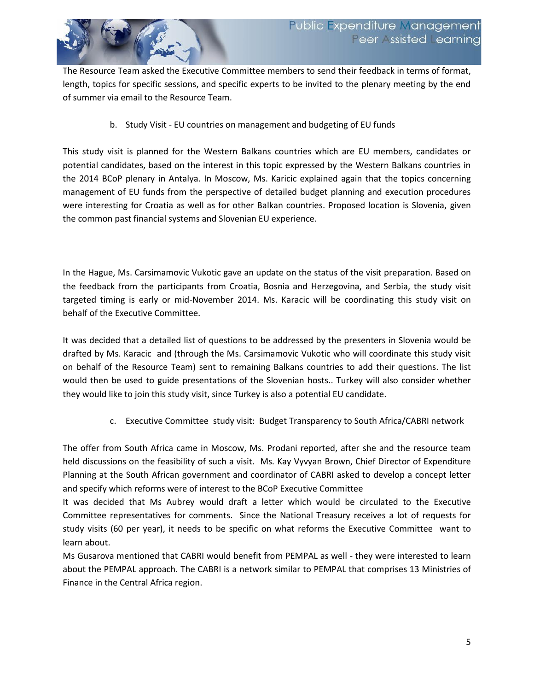The Resource Team asked the Executive Committee members to send their feedback in terms of format, length, topics for specific sessions, and specific experts to be invited to the plenary meeting by the end of summer via email to the Resource Team.

b. Study Visit - EU countries on management and budgeting of EU funds

This study visit is planned for the Western Balkans countries which are EU members, candidates or potential candidates, based on the interest in this topic expressed by the Western Balkans countries in the 2014 BCoP plenary in Antalya. In Moscow, Ms. Karicic explained again that the topics concerning management of EU funds from the perspective of detailed budget planning and execution procedures were interesting for Croatia as well as for other Balkan countries. Proposed location is Slovenia, given the common past financial systems and Slovenian EU experience.

In the Hague, Ms. Carsimamovic Vukotic gave an update on the status of the visit preparation. Based on the feedback from the participants from Croatia, Bosnia and Herzegovina, and Serbia, the study visit targeted timing is early or mid-November 2014. Ms. Karacic will be coordinating this study visit on behalf of the Executive Committee.

It was decided that a detailed list of questions to be addressed by the presenters in Slovenia would be drafted by Ms. Karacic and (through the Ms. Carsimamovic Vukotic who will coordinate this study visit on behalf of the Resource Team) sent to remaining Balkans countries to add their questions. The list would then be used to guide presentations of the Slovenian hosts.. Turkey will also consider whether they would like to join this study visit, since Turkey is also a potential EU candidate.

c. Executive Committee study visit: Budget Transparency to South Africa/CABRI network

The offer from South Africa came in Moscow, Ms. Prodani reported, after she and the resource team held discussions on the feasibility of such a visit. Ms. Kay Vyvyan Brown, Chief Director of Expenditure Planning at the South African government and coordinator of CABRI asked to develop a concept letter and specify which reforms were of interest to the BCoP Executive Committee

It was decided that Ms Aubrey would draft a letter which would be circulated to the Executive Committee representatives for comments. Since the National Treasury receives a lot of requests for study visits (60 per year), it needs to be specific on what reforms the Executive Committee want to learn about.

Ms Gusarova mentioned that CABRI would benefit from PEMPAL as well - they were interested to learn about the PEMPAL approach. The CABRI is a network similar to PEMPAL that comprises 13 Ministries of Finance in the Central Africa region.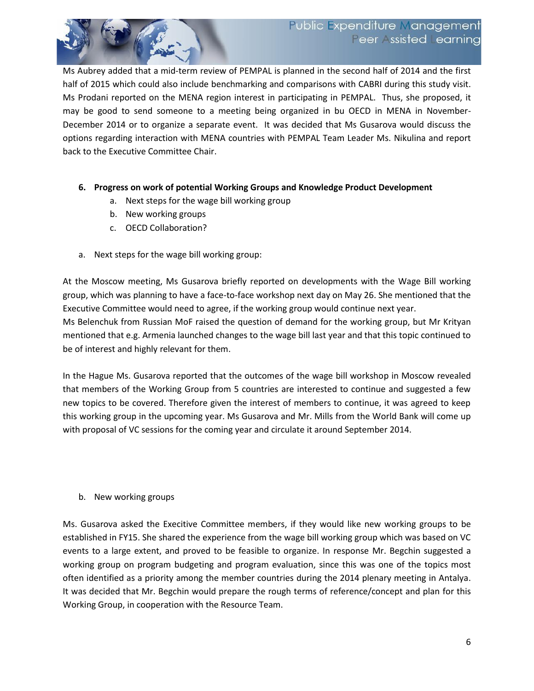

Ms Aubrey added that a mid-term review of PEMPAL is planned in the second half of 2014 and the first half of 2015 which could also include benchmarking and comparisons with CABRI during this study visit. Ms Prodani reported on the MENA region interest in participating in PEMPAL. Thus, she proposed, it may be good to send someone to a meeting being organized in bu OECD in MENA in November-December 2014 or to organize a separate event. It was decided that Ms Gusarova would discuss the options regarding interaction with MENA countries with PEMPAL Team Leader Ms. Nikulina and report back to the Executive Committee Chair.

### **6. Progress on work of potential Working Groups and Knowledge Product Development**

- a. Next steps for the wage bill working group
- b. New working groups
- c. OECD Collaboration?
- a. Next steps for the wage bill working group:

At the Moscow meeting, Ms Gusarova briefly reported on developments with the Wage Bill working group, which was planning to have a face-to-face workshop next day on May 26. She mentioned that the Executive Committee would need to agree, if the working group would continue next year.

Ms Belenchuk from Russian MoF raised the question of demand for the working group, but Mr Krityan mentioned that e.g. Armenia launched changes to the wage bill last year and that this topic continued to be of interest and highly relevant for them.

In the Hague Ms. Gusarova reported that the outcomes of the wage bill workshop in Moscow revealed that members of the Working Group from 5 countries are interested to continue and suggested a few new topics to be covered. Therefore given the interest of members to continue, it was agreed to keep this working group in the upcoming year. Ms Gusarova and Mr. Mills from the World Bank will come up with proposal of VC sessions for the coming year and circulate it around September 2014.

### b. New working groups

Ms. Gusarova asked the Execitive Committee members, if they would like new working groups to be established in FY15. She shared the experience from the wage bill working group which was based on VC events to a large extent, and proved to be feasible to organize. In response Mr. Begchin suggested a working group on program budgeting and program evaluation, since this was one of the topics most often identified as a priority among the member countries during the 2014 plenary meeting in Antalya. It was decided that Mr. Begchin would prepare the rough terms of reference/concept and plan for this Working Group, in cooperation with the Resource Team.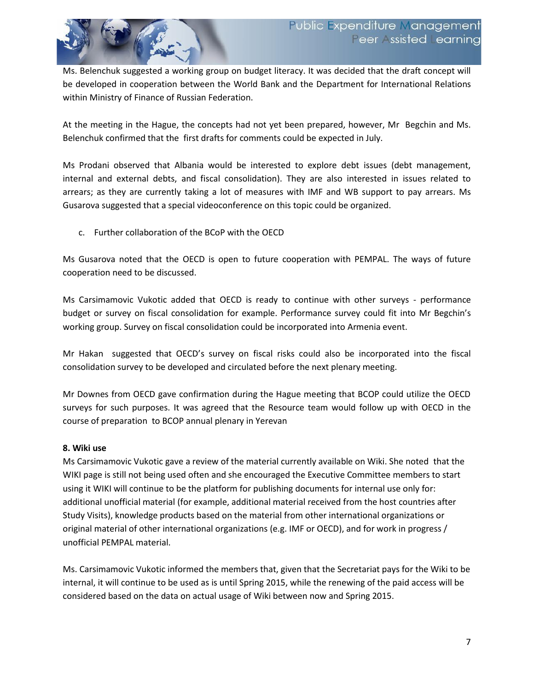

Ms. Belenchuk suggested a working group on budget literacy. It was decided that the draft concept will be developed in cooperation between the World Bank and the Department for International Relations within Ministry of Finance of Russian Federation.

At the meeting in the Hague, the concepts had not yet been prepared, however, Mr Begchin and Ms. Belenchuk confirmed that the first drafts for comments could be expected in July.

Ms Prodani observed that Albania would be interested to explore debt issues (debt management, internal and external debts, and fiscal consolidation). They are also interested in issues related to arrears; as they are currently taking a lot of measures with IMF and WB support to pay arrears. Ms Gusarova suggested that a special videoconference on this topic could be organized.

c. Further collaboration of the BCoP with the OECD

Ms Gusarova noted that the OECD is open to future cooperation with PEMPAL. The ways of future cooperation need to be discussed.

Ms Carsimamovic Vukotic added that OECD is ready to continue with other surveys - performance budget or survey on fiscal consolidation for example. Performance survey could fit into Mr Begchin's working group. Survey on fiscal consolidation could be incorporated into Armenia event.

Mr Hakan suggested that OECD's survey on fiscal risks could also be incorporated into the fiscal consolidation survey to be developed and circulated before the next plenary meeting.

Mr Downes from OECD gave confirmation during the Hague meeting that BCOP could utilize the OECD surveys for such purposes. It was agreed that the Resource team would follow up with OECD in the course of preparation to BCOP annual plenary in Yerevan

## **8. Wiki use**

Ms Carsimamovic Vukotic gave a review of the material currently available on Wiki. She noted that the WIKI page is still not being used often and she encouraged the Executive Committee members to start using it WIKI will continue to be the platform for publishing documents for internal use only for: additional unofficial material (for example, additional material received from the host countries after Study Visits), knowledge products based on the material from other international organizations or original material of other international organizations (e.g. IMF or OECD), and for work in progress / unofficial PEMPAL material.

Ms. Carsimamovic Vukotic informed the members that, given that the Secretariat pays for the Wiki to be internal, it will continue to be used as is until Spring 2015, while the renewing of the paid access will be considered based on the data on actual usage of Wiki between now and Spring 2015.